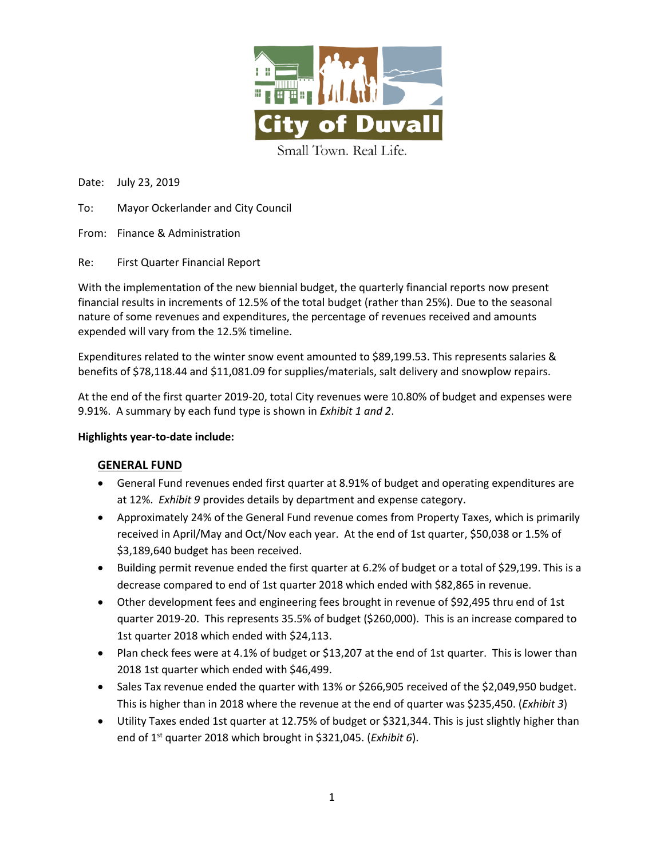

Date: July 23, 2019

- To: Mayor Ockerlander and City Council
- From: Finance & Administration
- Re: First Quarter Financial Report

With the implementation of the new biennial budget, the quarterly financial reports now present financial results in increments of 12.5% of the total budget (rather than 25%). Due to the seasonal nature of some revenues and expenditures, the percentage of revenues received and amounts expended will vary from the 12.5% timeline.

Expenditures related to the winter snow event amounted to \$89,199.53. This represents salaries & benefits of \$78,118.44 and \$11,081.09 for supplies/materials, salt delivery and snowplow repairs.

At the end of the first quarter 2019-20, total City revenues were 10.80% of budget and expenses were 9.91%. A summary by each fund type is shown in *Exhibit 1 and 2*.

#### **Highlights year-to-date include:**

#### **GENERAL FUND**

- General Fund revenues ended first quarter at 8.91% of budget and operating expenditures are at 12%. *Exhibit 9* provides details by department and expense category.
- Approximately 24% of the General Fund revenue comes from Property Taxes, which is primarily received in April/May and Oct/Nov each year. At the end of 1st quarter, \$50,038 or 1.5% of \$3,189,640 budget has been received.
- Building permit revenue ended the first quarter at 6.2% of budget or a total of \$29,199. This is a decrease compared to end of 1st quarter 2018 which ended with \$82,865 in revenue.
- Other development fees and engineering fees brought in revenue of \$92,495 thru end of 1st quarter 2019-20. This represents 35.5% of budget (\$260,000). This is an increase compared to 1st quarter 2018 which ended with \$24,113.
- Plan check fees were at 4.1% of budget or \$13,207 at the end of 1st quarter. This is lower than 2018 1st quarter which ended with \$46,499.
- Sales Tax revenue ended the quarter with 13% or \$266,905 received of the \$2,049,950 budget. This is higher than in 2018 where the revenue at the end of quarter was \$235,450. (*Exhibit 3*)
- Utility Taxes ended 1st quarter at 12.75% of budget or \$321,344. This is just slightly higher than end of 1st quarter 2018 which brought in \$321,045. (*Exhibit 6*).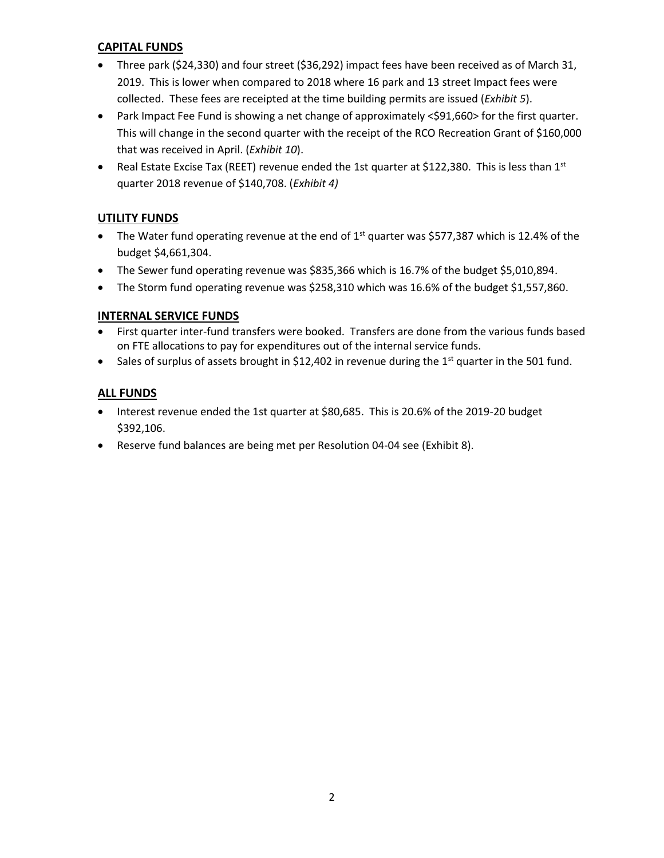# **CAPITAL FUNDS**

- Three park (\$24,330) and four street (\$36,292) impact fees have been received as of March 31, 2019. This is lower when compared to 2018 where 16 park and 13 street Impact fees were collected. These fees are receipted at the time building permits are issued (*Exhibit 5*).
- Park Impact Fee Fund is showing a net change of approximately <\$91,660> for the first quarter. This will change in the second quarter with the receipt of the RCO Recreation Grant of \$160,000 that was received in April. (*Exhibit 10*).
- Real Estate Excise Tax (REET) revenue ended the 1st quarter at \$122,380. This is less than 1st quarter 2018 revenue of \$140,708. (*Exhibit 4)*

# **UTILITY FUNDS**

- The Water fund operating revenue at the end of  $1<sup>st</sup>$  quarter was \$577,387 which is 12.4% of the budget \$4,661,304.
- The Sewer fund operating revenue was \$835,366 which is 16.7% of the budget \$5,010,894.
- The Storm fund operating revenue was \$258,310 which was 16.6% of the budget \$1,557,860.

# **INTERNAL SERVICE FUNDS**

- First quarter inter-fund transfers were booked. Transfers are done from the various funds based on FTE allocations to pay for expenditures out of the internal service funds.
- Sales of surplus of assets brought in \$12,402 in revenue during the  $1<sup>st</sup>$  quarter in the 501 fund.

# **ALL FUNDS**

- Interest revenue ended the 1st quarter at \$80,685. This is 20.6% of the 2019-20 budget \$392,106.
- Reserve fund balances are being met per Resolution 04-04 see (Exhibit 8).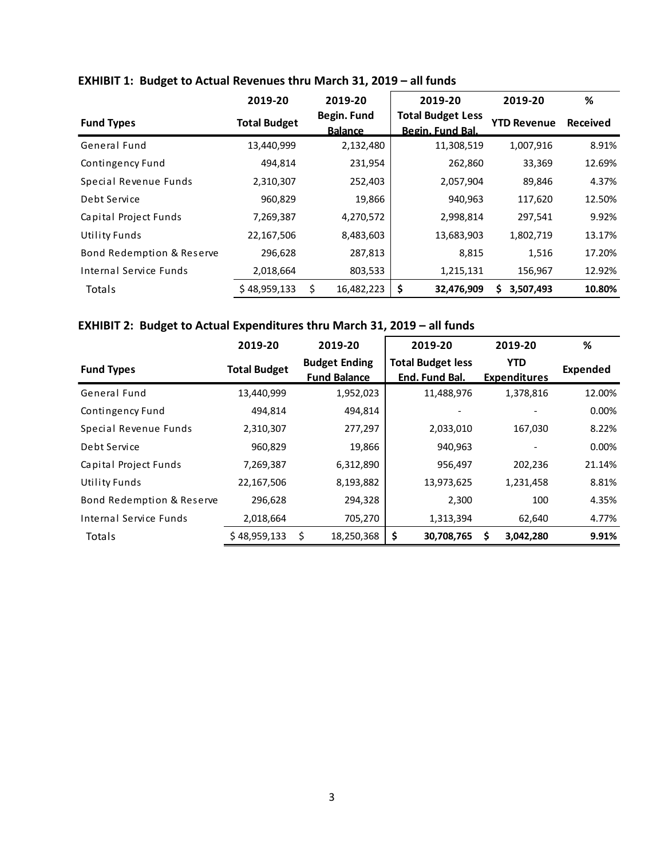|                           | 2019-20             | 2019-20                       | 2019-20                                      | 2019-20            | %               |
|---------------------------|---------------------|-------------------------------|----------------------------------------------|--------------------|-----------------|
| <b>Fund Types</b>         | <b>Total Budget</b> | Begin. Fund<br><b>Balance</b> | <b>Total Budget Less</b><br>Begin. Fund Bal. | <b>YTD Revenue</b> | <b>Received</b> |
| General Fund              | 13,440,999          | 2,132,480                     | 11,308,519                                   | 1,007,916          | 8.91%           |
| Contingency Fund          | 494,814             | 231,954                       | 262,860                                      | 33,369             | 12.69%          |
| Special Revenue Funds     | 2,310,307           | 252,403                       | 2,057,904                                    | 89,846             | 4.37%           |
| Debt Service              | 960,829             | 19,866                        | 940,963                                      | 117,620            | 12.50%          |
| Capital Project Funds     | 7,269,387           | 4,270,572                     | 2,998,814                                    | 297,541            | 9.92%           |
| <b>Utility Funds</b>      | 22,167,506          | 8,483,603                     | 13,683,903                                   | 1,802,719          | 13.17%          |
| Bond Redemption & Reserve | 296,628             | 287,813                       | 8,815                                        | 1,516              | 17.20%          |
| Internal Service Funds    | 2,018,664           | 803,533                       | 1,215,131                                    | 156,967            | 12.92%          |
| Totals                    | \$48,959,133        | \$<br>16,482,223              | \$<br>32,476,909                             | 3,507,493<br>s     | 10.80%          |

# **EXHIBIT 1: Budget to Actual Revenues thru March 31, 2019 – all funds**

# **EXHIBIT 2: Budget to Actual Expenditures thru March 31, 2019 – all funds**

|                           | 2019-20             | 2019-20                                     | 2019-20                                    | 2019-20                           | %        |
|---------------------------|---------------------|---------------------------------------------|--------------------------------------------|-----------------------------------|----------|
| <b>Fund Types</b>         | <b>Total Budget</b> | <b>Budget Ending</b><br><b>Fund Balance</b> | <b>Total Budget less</b><br>End. Fund Bal. | <b>YTD</b><br><b>Expenditures</b> | Expended |
| General Fund              | 13,440,999          | 1,952,023                                   | 11,488,976                                 | 1,378,816                         | 12.00%   |
| Contingency Fund          | 494,814             | 494,814                                     |                                            |                                   | 0.00%    |
| Special Revenue Funds     | 2,310,307           | 277,297                                     | 2,033,010                                  | 167,030                           | 8.22%    |
| Debt Service              | 960,829             | 19,866                                      | 940,963                                    |                                   | 0.00%    |
| Capital Project Funds     | 7,269,387           | 6,312,890                                   | 956,497                                    | 202,236                           | 21.14%   |
| <b>Utility Funds</b>      | 22,167,506          | 8,193,882                                   | 13,973,625                                 | 1,231,458                         | 8.81%    |
| Bond Redemption & Reserve | 296,628             | 294,328                                     | 2,300                                      | 100                               | 4.35%    |
| Internal Service Funds    | 2,018,664           | 705,270                                     | 1,313,394                                  | 62,640                            | 4.77%    |
| Totals                    | \$48,959,133        | 18,250,368<br>S                             | -S<br>30,708,765                           | \$<br>3,042,280                   | 9.91%    |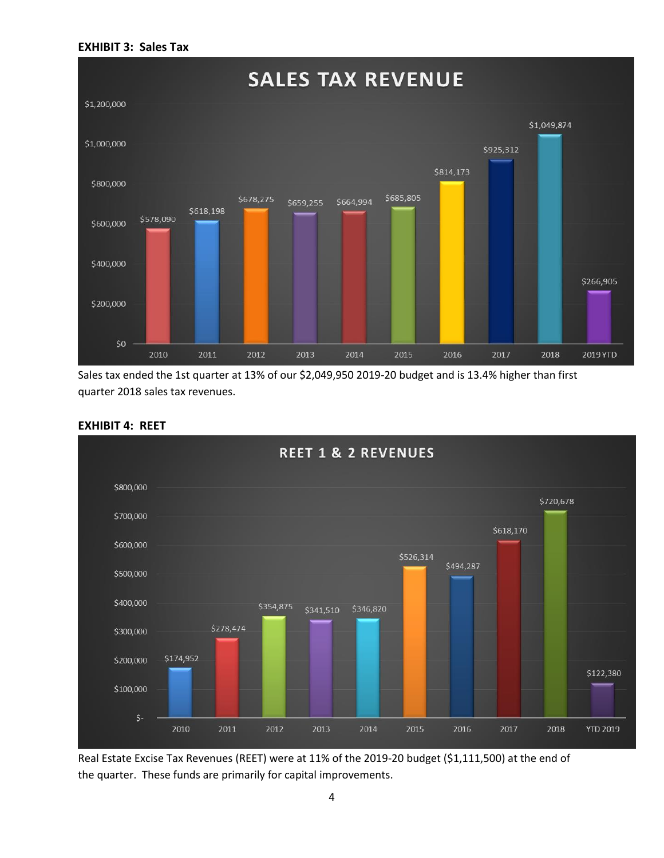#### **EXHIBIT 3: Sales Tax**



Sales tax ended the 1st quarter at 13% of our \$2,049,950 2019-20 budget and is 13.4% higher than first quarter 2018 sales tax revenues.



#### **EXHIBIT 4: REET**

Real Estate Excise Tax Revenues (REET) were at 11% of the 2019-20 budget (\$1,111,500) at the end of the quarter. These funds are primarily for capital improvements.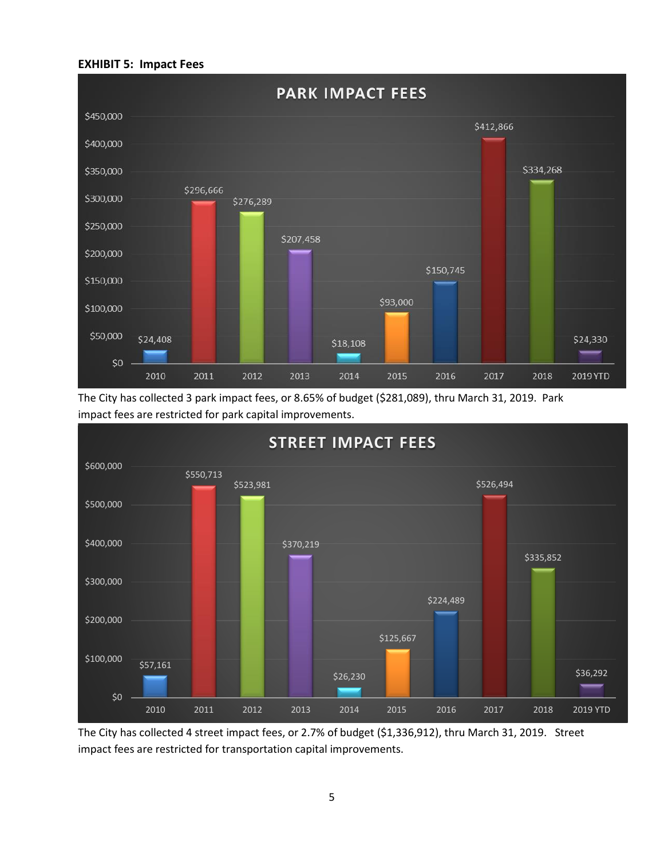#### **EXHIBIT 5: Impact Fees**



The City has collected 3 park impact fees, or 8.65% of budget (\$281,089), thru March 31, 2019. Park impact fees are restricted for park capital improvements.



The City has collected 4 street impact fees, or 2.7% of budget (\$1,336,912), thru March 31, 2019. Street impact fees are restricted for transportation capital improvements.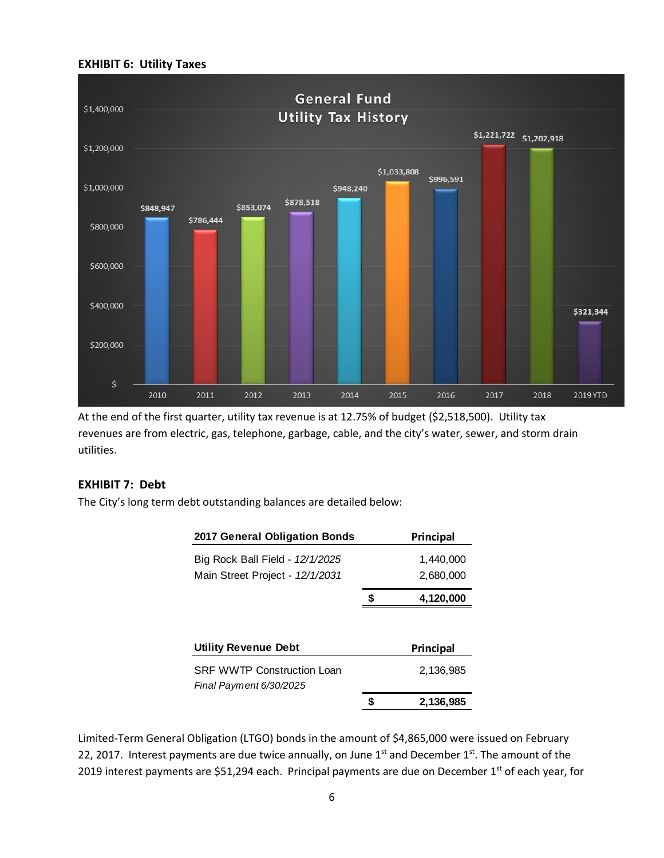#### **EXHIBIT 6: Utility Taxes**



At the end of the first quarter, utility tax revenue is at 12.75% of budget (\$2,518,500). Utility tax revenues are from electric, gas, telephone, garbage, cable, and the city's water, sewer, and storm drain utilities.

#### **EXHIBIT 7: Debt**

The City's long term debt outstanding balances are detailed below:

| 2017 General Obligation Bonds                                |   | Principal |
|--------------------------------------------------------------|---|-----------|
| Big Rock Ball Field - 12/1/2025                              |   | 1,440,000 |
| Main Street Project - 12/1/2031                              |   | 2,680,000 |
|                                                              | S | 4,120,000 |
| <b>Utility Revenue Debt</b>                                  |   | Principal |
| <b>SRF WWTP Construction Loan</b><br>Final Payment 6/30/2025 |   | 2,136,985 |
|                                                              |   | 2.136.985 |

Limited-Term General Obligation (LTGO) bonds in the amount of \$4,865,000 were issued on February 22, 2017. Interest payments are due twice annually, on June  $1<sup>st</sup>$  and December  $1<sup>st</sup>$ . The amount of the 2019 interest payments are \$51,294 each. Principal payments are due on December 1<sup>st</sup> of each year, for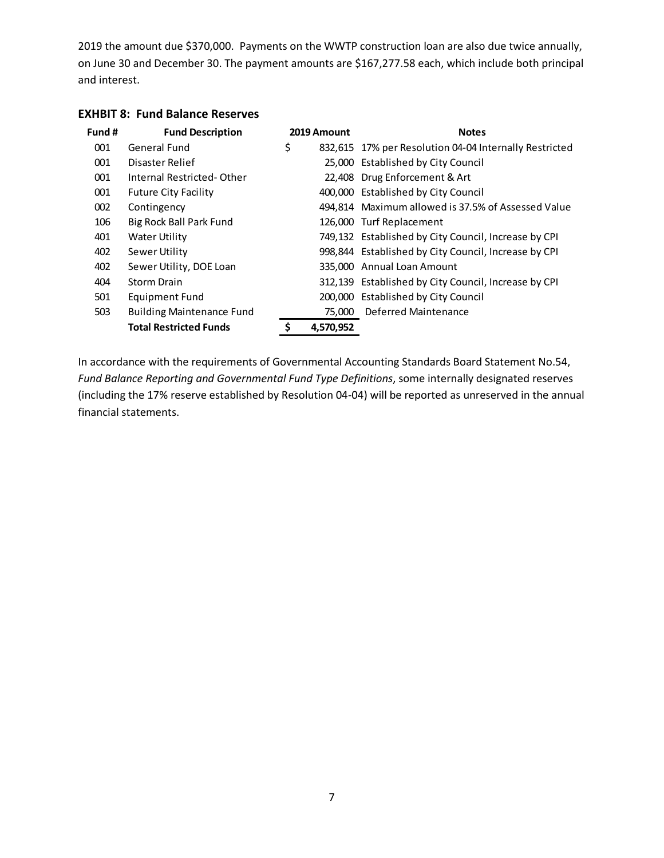2019 the amount due \$370,000. Payments on the WWTP construction loan are also due twice annually, on June 30 and December 30. The payment amounts are \$167,277.58 each, which include both principal and interest.

| Fund # | <b>Fund Description</b>          | 2019 Amount | <b>Notes</b>                                           |
|--------|----------------------------------|-------------|--------------------------------------------------------|
| 001    | General Fund                     | \$          | 832,615 17% per Resolution 04-04 Internally Restricted |
| 001    | Disaster Relief                  |             | 25,000 Established by City Council                     |
| 001    | Internal Restricted-Other        |             | 22,408 Drug Enforcement & Art                          |
| 001    | <b>Future City Facility</b>      |             | 400,000 Established by City Council                    |
| 002    | Contingency                      |             | 494,814 Maximum allowed is 37.5% of Assessed Value     |
| 106    | Big Rock Ball Park Fund          |             | 126,000 Turf Replacement                               |
| 401    | Water Utility                    |             | 749,132 Established by City Council, Increase by CPI   |
| 402    | Sewer Utility                    |             | 998,844 Established by City Council, Increase by CPI   |
| 402    | Sewer Utility, DOE Loan          |             | 335.000 Annual Loan Amount                             |
| 404    | Storm Drain                      |             | 312,139 Established by City Council, Increase by CPI   |
| 501    | <b>Equipment Fund</b>            |             | 200,000 Established by City Council                    |
| 503    | <b>Building Maintenance Fund</b> | 75,000      | Deferred Maintenance                                   |
|        | <b>Total Restricted Funds</b>    | 4,570,952   |                                                        |

### **EXHBIT 8: Fund Balance Reserves**

In accordance with the requirements of Governmental Accounting Standards Board Statement No.54, *Fund Balance Reporting and Governmental Fund Type Definitions*, some internally designated reserves (including the 17% reserve established by Resolution 04-04) will be reported as unreserved in the annual financial statements.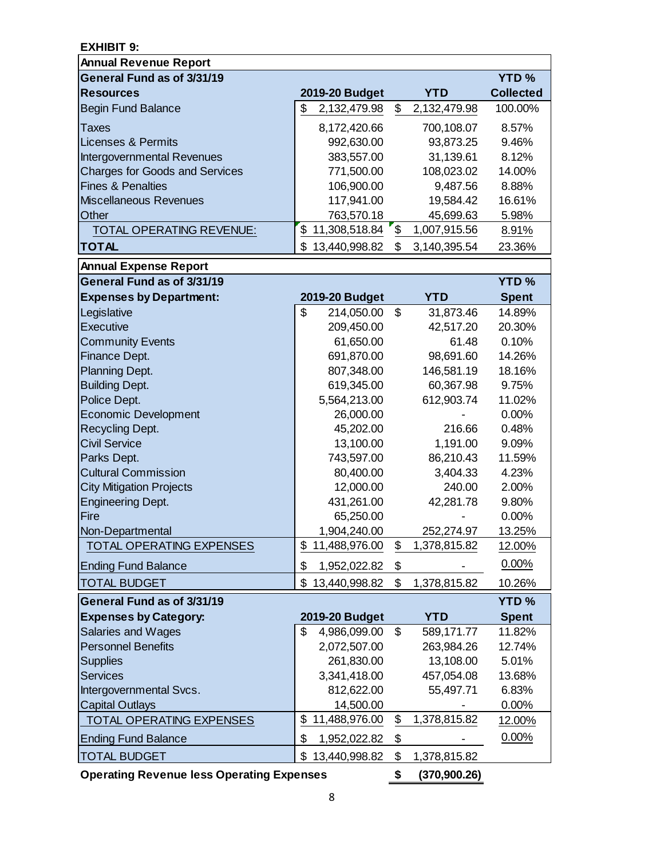| <b>EXHIBIT 9:</b>                     |                     |                |              |                  |
|---------------------------------------|---------------------|----------------|--------------|------------------|
| <b>Annual Revenue Report</b>          |                     |                |              |                  |
| General Fund as of 3/31/19            |                     |                |              | <b>YTD%</b>      |
| <b>Resources</b>                      | 2019-20 Budget      |                | <b>YTD</b>   | <b>Collected</b> |
| <b>Begin Fund Balance</b>             | \$<br>2,132,479.98  | \$             | 2,132,479.98 | 100.00%          |
| <b>Taxes</b>                          | 8,172,420.66        |                | 700,108.07   | 8.57%            |
| <b>Licenses &amp; Permits</b>         | 992,630.00          |                | 93,873.25    | 9.46%            |
| Intergovernmental Revenues            | 383,557.00          |                | 31,139.61    | 8.12%            |
| <b>Charges for Goods and Services</b> | 771,500.00          |                | 108,023.02   | 14.00%           |
| <b>Fines &amp; Penalties</b>          | 106,900.00          |                | 9,487.56     | 8.88%            |
| <b>Miscellaneous Revenues</b>         | 117,941.00          |                | 19,584.42    | 16.61%           |
| Other                                 | 763,570.18          |                | 45,699.63    | 5.98%            |
| TOTAL OPERATING REVENUE:              | \$<br>11,308,518.84 | $\mathfrak{F}$ | 1,007,915.56 | 8.91%            |
| <b>TOTAL</b>                          | 13,440,998.82<br>\$ | \$             | 3,140,395.54 | 23.36%           |
| <b>Annual Expense Report</b>          |                     |                |              |                  |
| General Fund as of 3/31/19            |                     |                |              | <b>YTD%</b>      |
| <b>Expenses by Department:</b>        | 2019-20 Budget      |                | <b>YTD</b>   | <b>Spent</b>     |
| Legislative                           | \$<br>214,050.00    | \$             | 31,873.46    | 14.89%           |
| Executive                             | 209,450.00          |                | 42,517.20    | 20.30%           |
| <b>Community Events</b>               | 61,650.00           |                | 61.48        | 0.10%            |
| Finance Dept.                         | 691,870.00          |                | 98,691.60    | 14.26%           |
| Planning Dept.                        | 807,348.00          |                | 146,581.19   | 18.16%           |
| <b>Building Dept.</b>                 | 619,345.00          |                | 60,367.98    | 9.75%            |
| Police Dept.                          | 5,564,213.00        |                | 612,903.74   | 11.02%           |
| Economic Development                  | 26,000.00           |                |              | 0.00%            |
| <b>Recycling Dept.</b>                | 45,202.00           |                | 216.66       | 0.48%            |
| <b>Civil Service</b>                  | 13,100.00           |                | 1,191.00     | 9.09%            |
| Parks Dept.                           | 743,597.00          |                | 86,210.43    | 11.59%           |
| <b>Cultural Commission</b>            | 80,400.00           |                | 3,404.33     | 4.23%            |
| <b>City Mitigation Projects</b>       | 12,000.00           |                | 240.00       | 2.00%            |
| <b>Engineering Dept.</b>              | 431,261.00          |                | 42,281.78    | 9.80%            |
| Fire                                  | 65,250.00           |                |              | 0.00%            |
| Non-Departmental                      | 1,904,240.00        |                | 252,274.97   | 13.25%           |
| TOTAL OPERATING EXPENSES              | 11,488,976.00<br>\$ | \$             | 1,378,815.82 | 12.00%           |
| <b>Ending Fund Balance</b>            | \$<br>1,952,022.82  | \$             |              | $0.00\%$         |
| <b>TOTAL BUDGET</b>                   | \$<br>13,440,998.82 | \$             | 1,378,815.82 | 10.26%           |
| General Fund as of 3/31/19            |                     |                |              | <b>YTD%</b>      |
| <b>Expenses by Category:</b>          | 2019-20 Budget      |                | <b>YTD</b>   | <b>Spent</b>     |
| Salaries and Wages                    | 4,986,099.00<br>\$  | \$             | 589,171.77   | 11.82%           |
| <b>Personnel Benefits</b>             | 2,072,507.00        |                | 263,984.26   | 12.74%           |
| <b>Supplies</b>                       | 261,830.00          |                | 13,108.00    | 5.01%            |
| Services                              | 3,341,418.00        |                | 457,054.08   | 13.68%           |
| Intergovernmental Svcs.               | 812,622.00          |                | 55,497.71    | 6.83%            |
| <b>Capital Outlays</b>                | 14,500.00           |                |              | 0.00%            |
| TOTAL OPERATING EXPENSES              | 11,488,976.00<br>\$ | \$             | 1,378,815.82 | <u>12.00%</u>    |
| <b>Ending Fund Balance</b>            | \$<br>1,952,022.82  | \$             |              | 0.00%            |
| <b>TOTAL BUDGET</b>                   | \$<br>13,440,998.82 | \$             | 1,378,815.82 |                  |

**Operating Revenue less Operating Expenses \$ (370,900.26)**